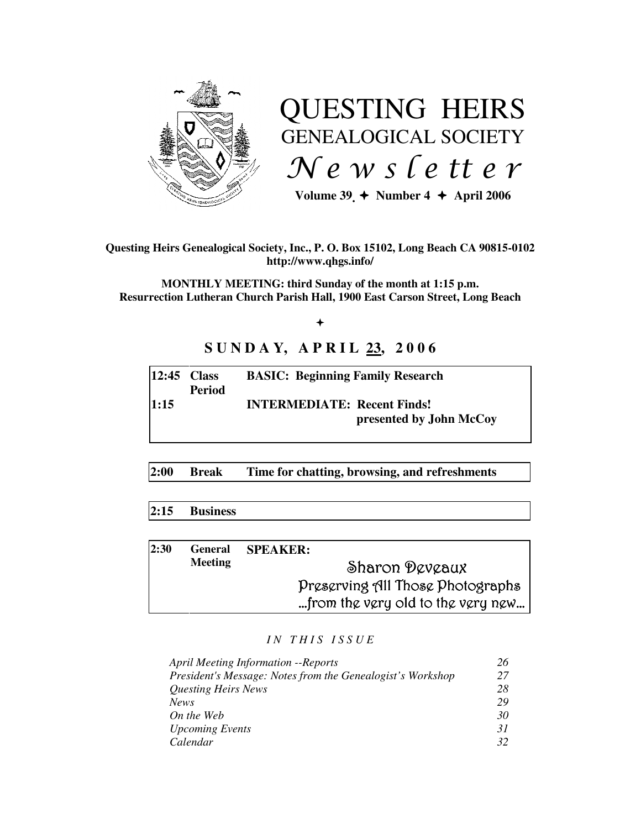

# QUESTING HEIRS GENEALOGICAL SOCIETY  $Ne$  w s letter

Volume  $39 \div \text{Number 4} \div \text{April 2006}$ 

**Questing Heirs Genealogical Society, Inc., P. O. Box 15102, Long Beach CA 90815-0102 http://www.qhgs.info/** 

**MONTHLY MEETING: third Sunday of the month at 1:15 p.m. Resurrection Lutheran Church Parish Hall, 1900 East Carson Street, Long Beach** 

 $+$ 

# **SUNDAY, APRIL 23, 2006**

| $ 12:45$ Class | <b>Period</b> | <b>BASIC: Beginning Family Research</b>                       |
|----------------|---------------|---------------------------------------------------------------|
| 1:15           |               | <b>INTERMEDIATE: Recent Finds!</b><br>presented by John McCoy |

**2:00 Break Time for chatting, browsing, and refreshments** 

### **2:15 Business**

| 2:30 | <b>General</b><br><b>Meeting</b> | <b>SPEAKER:</b>                   |
|------|----------------------------------|-----------------------------------|
|      |                                  | Sharon Deveaux                    |
|      |                                  | Preserving All Those Photographs  |
|      |                                  | from the very old to the very new |

#### *I N T H I S I S S U E*

| <b>April Meeting Information --Reports</b>                 |    |
|------------------------------------------------------------|----|
| President's Message: Notes from the Genealogist's Workshop | 27 |
| Questing Heirs News                                        | 28 |
| <b>News</b>                                                | 29 |
| On the Web                                                 | 30 |
| <b>Upcoming Events</b>                                     | 31 |
| Calendar                                                   | 32 |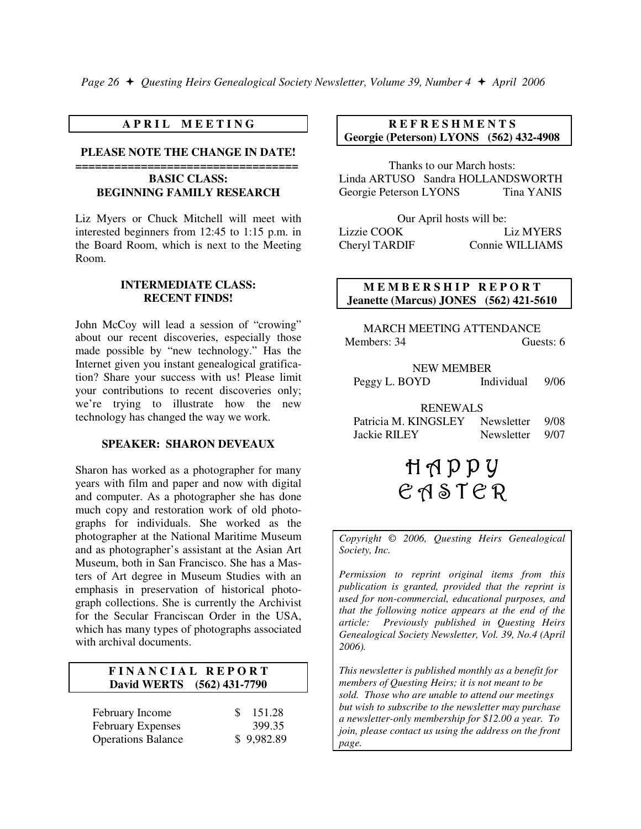#### **A P R I L M E E T I N G**

#### **PLEASE NOTE THE CHANGE IN DATE!**

#### **================================== BASIC CLASS: BEGINNING FAMILY RESEARCH**

Liz Myers or Chuck Mitchell will meet with interested beginners from 12:45 to 1:15 p.m. in the Board Room, which is next to the Meeting Room.

#### **INTERMEDIATE CLASS: RECENT FINDS!**

John McCoy will lead a session of "crowing" about our recent discoveries, especially those made possible by "new technology." Has the Internet given you instant genealogical gratification? Share your success with us! Please limit your contributions to recent discoveries only; we're trying to illustrate how the new technology has changed the way we work.

#### **SPEAKER: SHARON DEVEAUX**

Sharon has worked as a photographer for many years with film and paper and now with digital and computer. As a photographer she has done much copy and restoration work of old photographs for individuals. She worked as the photographer at the National Maritime Museum and as photographer's assistant at the Asian Art Museum, both in San Francisco. She has a Masters of Art degree in Museum Studies with an emphasis in preservation of historical photograph collections. She is currently the Archivist for the Secular Franciscan Order in the USA, which has many types of photographs associated with archival documents.

#### **F I N A N C I A L R E P O R T David WERTS (562) 431-7790**

| February Income           | 151.28<br>SS. |
|---------------------------|---------------|
| <b>February Expenses</b>  | 399.35        |
| <b>Operations Balance</b> | \$9,982.89    |

#### **R E F R E S H M E N T S Georgie (Peterson) LYONS (562) 432-4908**

Thanks to our March hosts: Linda ARTUSO Sandra HOLLANDSWORTH Georgie Peterson LYONS Tina YANIS

| Our April hosts will be: |                  |  |  |  |
|--------------------------|------------------|--|--|--|
| Lizzie COOK              | <b>Liz MYERS</b> |  |  |  |
| Cheryl TARDIF            | Connie WILLIAMS  |  |  |  |

#### **MEMBERSHIP REPORT Jeanette (Marcus) JONES (562) 421-5610**

MARCH MEETING ATTENDANCE Members: 34 Guests: 6

#### NEW MEMBER

Peggy L. BOYD Individual 9/06

#### RENEWALS

| Patricia M. KINGSLEY | Newsletter | -9/08 |
|----------------------|------------|-------|
| Jackie RILEY         | Newsletter | 9/07  |

# $H \wedge P P V$  $C A S T C R$

*Copyright* © *2006, Questing Heirs Genealogical Society, Inc.* 

*Permission to reprint original items from this publication is granted, provided that the reprint is used for non-commercial, educational purposes, and that the following notice appears at the end of the article: Previously published in Questing Heirs Genealogical Society Newsletter, Vol. 39, No.4 (April 2006).* 

*This newsletter is published monthly as a benefit for members of Questing Heirs; it is not meant to be sold. Those who are unable to attend our meetings but wish to subscribe to the newsletter may purchase a newsletter-only membership for \$12.00 a year. To join, please contact us using the address on the front page.*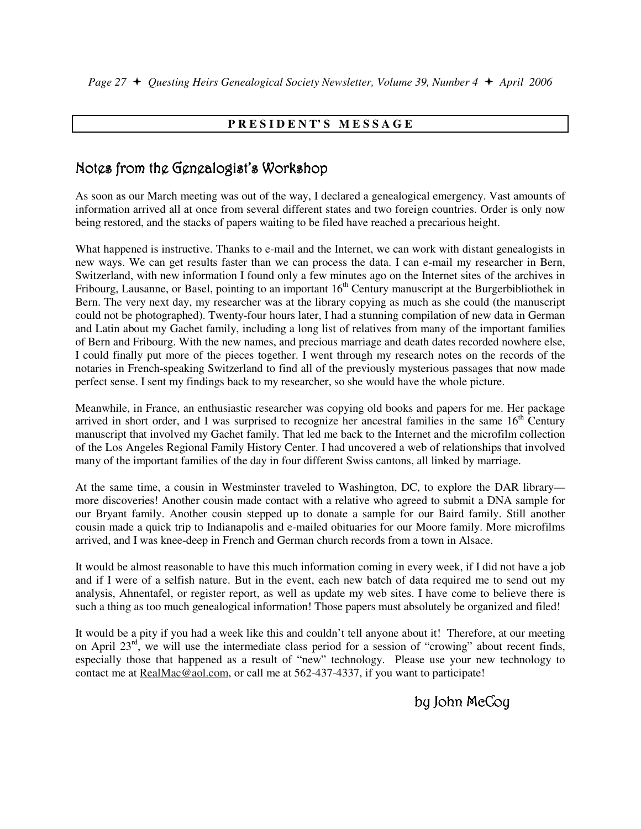## **P R E S I D E N T' S M E S S A G E**

# Notes from the Genealogist's Workshop

As soon as our March meeting was out of the way, I declared a genealogical emergency. Vast amounts of information arrived all at once from several different states and two foreign countries. Order is only now being restored, and the stacks of papers waiting to be filed have reached a precarious height.

What happened is instructive. Thanks to e-mail and the Internet, we can work with distant genealogists in new ways. We can get results faster than we can process the data. I can e-mail my researcher in Bern, Switzerland, with new information I found only a few minutes ago on the Internet sites of the archives in Fribourg, Lausanne, or Basel, pointing to an important  $16<sup>th</sup>$  Century manuscript at the Burgerbibliothek in Bern. The very next day, my researcher was at the library copying as much as she could (the manuscript could not be photographed). Twenty-four hours later, I had a stunning compilation of new data in German and Latin about my Gachet family, including a long list of relatives from many of the important families of Bern and Fribourg. With the new names, and precious marriage and death dates recorded nowhere else, I could finally put more of the pieces together. I went through my research notes on the records of the notaries in French-speaking Switzerland to find all of the previously mysterious passages that now made perfect sense. I sent my findings back to my researcher, so she would have the whole picture.

Meanwhile, in France, an enthusiastic researcher was copying old books and papers for me. Her package arrived in short order, and I was surprised to recognize her ancestral families in the same  $16<sup>th</sup>$  Century manuscript that involved my Gachet family. That led me back to the Internet and the microfilm collection of the Los Angeles Regional Family History Center. I had uncovered a web of relationships that involved many of the important families of the day in four different Swiss cantons, all linked by marriage.

At the same time, a cousin in Westminster traveled to Washington, DC, to explore the DAR library more discoveries! Another cousin made contact with a relative who agreed to submit a DNA sample for our Bryant family. Another cousin stepped up to donate a sample for our Baird family. Still another cousin made a quick trip to Indianapolis and e-mailed obituaries for our Moore family. More microfilms arrived, and I was knee-deep in French and German church records from a town in Alsace.

It would be almost reasonable to have this much information coming in every week, if I did not have a job and if I were of a selfish nature. But in the event, each new batch of data required me to send out my analysis, Ahnentafel, or register report, as well as update my web sites. I have come to believe there is such a thing as too much genealogical information! Those papers must absolutely be organized and filed!

It would be a pity if you had a week like this and couldn't tell anyone about it! Therefore, at our meeting on April 23rd, we will use the intermediate class period for a session of "crowing" about recent finds, especially those that happened as a result of "new" technology. Please use your new technology to contact me at **RealMac@aol.com**, or call me at 562-437-4337, if you want to participate!

# by John McCoy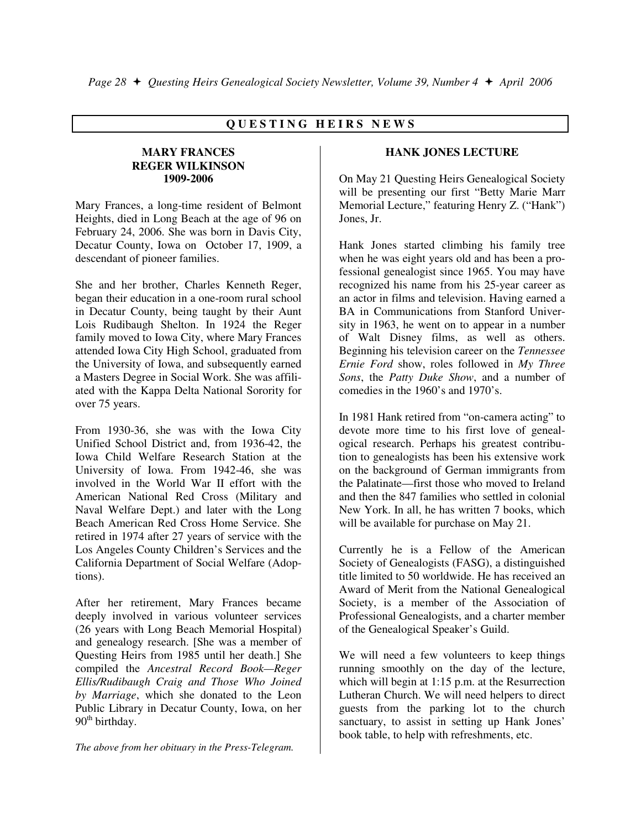## **Q U E S T I N G H E I R S N E W S**

#### **MARY FRANCES REGER WILKINSON 1909-2006**

Mary Frances, a long-time resident of Belmont Heights, died in Long Beach at the age of 96 on February 24, 2006. She was born in Davis City, Decatur County, Iowa on October 17, 1909, a descendant of pioneer families.

She and her brother, Charles Kenneth Reger, began their education in a one-room rural school in Decatur County, being taught by their Aunt Lois Rudibaugh Shelton. In 1924 the Reger family moved to Iowa City, where Mary Frances attended Iowa City High School, graduated from the University of Iowa, and subsequently earned a Masters Degree in Social Work. She was affiliated with the Kappa Delta National Sorority for over 75 years.

From 1930-36, she was with the Iowa City Unified School District and, from 1936-42, the Iowa Child Welfare Research Station at the University of Iowa. From 1942-46, she was involved in the World War II effort with the American National Red Cross (Military and Naval Welfare Dept.) and later with the Long Beach American Red Cross Home Service. She retired in 1974 after 27 years of service with the Los Angeles County Children's Services and the California Department of Social Welfare (Adoptions).

After her retirement, Mary Frances became deeply involved in various volunteer services (26 years with Long Beach Memorial Hospital) and genealogy research. [She was a member of Questing Heirs from 1985 until her death.] She compiled the *Ancestral Record Book—Reger Ellis/Rudibaugh Craig and Those Who Joined by Marriage*, which she donated to the Leon Public Library in Decatur County, Iowa, on her  $90<sup>th</sup>$  birthday.

*The above from her obituary in the Press-Telegram.* 

#### **HANK JONES LECTURE**

On May 21 Questing Heirs Genealogical Society will be presenting our first "Betty Marie Marr Memorial Lecture," featuring Henry Z. ("Hank") Jones, Jr.

Hank Jones started climbing his family tree when he was eight years old and has been a professional genealogist since 1965. You may have recognized his name from his 25-year career as an actor in films and television. Having earned a BA in Communications from Stanford University in 1963, he went on to appear in a number of Walt Disney films, as well as others. Beginning his television career on the *Tennessee Ernie Ford* show, roles followed in *My Three Sons*, the *Patty Duke Show*, and a number of comedies in the 1960's and 1970's.

In 1981 Hank retired from "on-camera acting" to devote more time to his first love of genealogical research. Perhaps his greatest contribution to genealogists has been his extensive work on the background of German immigrants from the Palatinate—first those who moved to Ireland and then the 847 families who settled in colonial New York. In all, he has written 7 books, which will be available for purchase on May 21.

Currently he is a Fellow of the American Society of Genealogists (FASG), a distinguished title limited to 50 worldwide. He has received an Award of Merit from the National Genealogical Society, is a member of the Association of Professional Genealogists, and a charter member of the Genealogical Speaker's Guild.

We will need a few volunteers to keep things running smoothly on the day of the lecture, which will begin at 1:15 p.m. at the Resurrection Lutheran Church. We will need helpers to direct guests from the parking lot to the church sanctuary, to assist in setting up Hank Jones' book table, to help with refreshments, etc.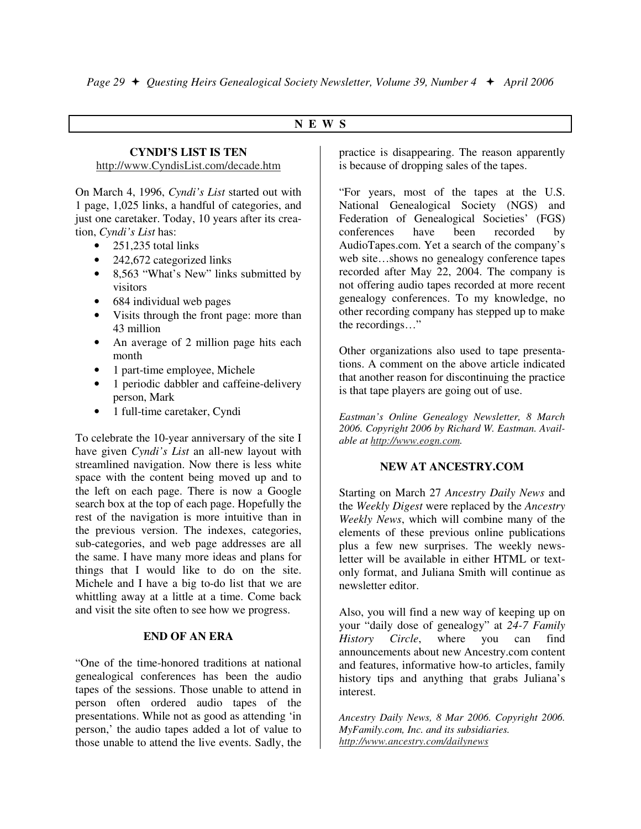#### **N E W S**

# **CYNDI'S LIST IS TEN**

http://www.CyndisList.com/decade.htm

On March 4, 1996, *Cyndi's List* started out with 1 page, 1,025 links, a handful of categories, and just one caretaker. Today, 10 years after its creation, *Cyndi's List* has:

- 251,235 total links
- 242,672 categorized links
- 8,563 "What's New" links submitted by visitors
- 684 individual web pages
- Visits through the front page: more than 43 million
- An average of 2 million page hits each month
- 1 part-time employee, Michele
- 1 periodic dabbler and caffeine-delivery person, Mark
- 1 full-time caretaker, Cyndi

To celebrate the 10-year anniversary of the site I have given *Cyndi's List* an all-new layout with streamlined navigation. Now there is less white space with the content being moved up and to the left on each page. There is now a Google search box at the top of each page. Hopefully the rest of the navigation is more intuitive than in the previous version. The indexes, categories, sub-categories, and web page addresses are all the same. I have many more ideas and plans for things that I would like to do on the site. Michele and I have a big to-do list that we are whittling away at a little at a time. Come back and visit the site often to see how we progress.

#### **END OF AN ERA**

"One of the time-honored traditions at national genealogical conferences has been the audio tapes of the sessions. Those unable to attend in person often ordered audio tapes of the presentations. While not as good as attending 'in person,' the audio tapes added a lot of value to those unable to attend the live events. Sadly, the

practice is disappearing. The reason apparently is because of dropping sales of the tapes.

"For years, most of the tapes at the U.S. National Genealogical Society (NGS) and Federation of Genealogical Societies' (FGS) conferences have been recorded by AudioTapes.com. Yet a search of the company's web site…shows no genealogy conference tapes recorded after May 22, 2004. The company is not offering audio tapes recorded at more recent genealogy conferences. To my knowledge, no other recording company has stepped up to make the recordings…"

Other organizations also used to tape presentations. A comment on the above article indicated that another reason for discontinuing the practice is that tape players are going out of use.

*Eastman's Online Genealogy Newsletter, 8 March 2006. Copyright 2006 by Richard W. Eastman. Available at http://www.eogn.com.* 

### **NEW AT ANCESTRY.COM**

Starting on March 27 *Ancestry Daily News* and the *Weekly Digest* were replaced by the *Ancestry Weekly News*, which will combine many of the elements of these previous online publications plus a few new surprises. The weekly newsletter will be available in either HTML or textonly format, and Juliana Smith will continue as newsletter editor.

Also, you will find a new way of keeping up on your "daily dose of genealogy" at *24-7 Family History Circle*, where you can find announcements about new Ancestry.com content and features, informative how-to articles, family history tips and anything that grabs Juliana's interest.

*Ancestry Daily News, 8 Mar 2006. Copyright 2006. MyFamily.com, Inc. and its subsidiaries. http://www.ancestry.com/dailynews*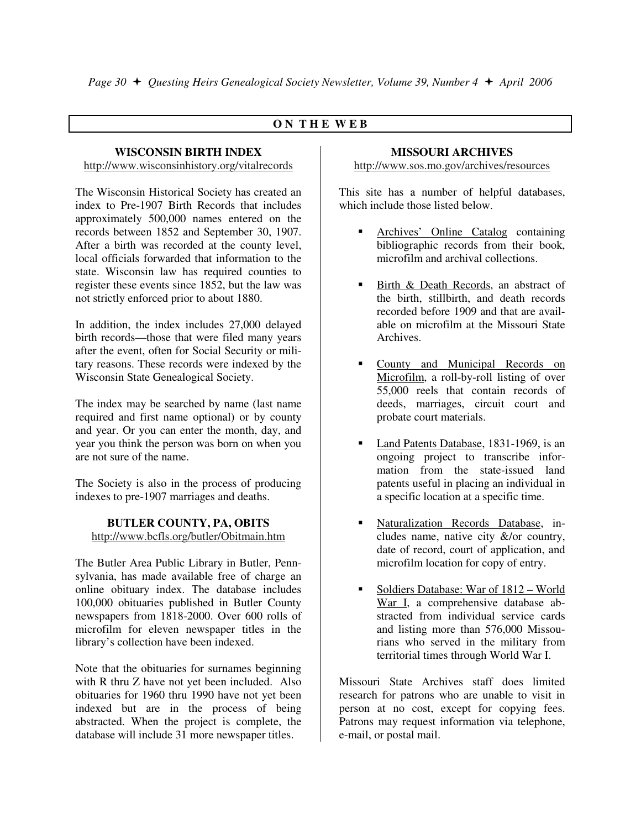## **O N T H E W E B**

#### **WISCONSIN BIRTH INDEX**

http://www.wisconsinhistory.org/vitalrecords

The Wisconsin Historical Society has created an index to Pre-1907 Birth Records that includes approximately 500,000 names entered on the records between 1852 and September 30, 1907. After a birth was recorded at the county level, local officials forwarded that information to the state. Wisconsin law has required counties to register these events since 1852, but the law was not strictly enforced prior to about 1880.

In addition, the index includes 27,000 delayed birth records—those that were filed many years after the event, often for Social Security or military reasons. These records were indexed by the Wisconsin State Genealogical Society.

The index may be searched by name (last name required and first name optional) or by county and year. Or you can enter the month, day, and year you think the person was born on when you are not sure of the name.

The Society is also in the process of producing indexes to pre-1907 marriages and deaths.

#### **BUTLER COUNTY, PA, OBITS**  http://www.bcfls.org/butler/Obitmain.htm

The Butler Area Public Library in Butler, Pennsylvania, has made available free of charge an online obituary index. The database includes 100,000 obituaries published in Butler County newspapers from 1818-2000. Over 600 rolls of microfilm for eleven newspaper titles in the library's collection have been indexed.

Note that the obituaries for surnames beginning with R thru Z have not yet been included. Also obituaries for 1960 thru 1990 have not yet been indexed but are in the process of being abstracted. When the project is complete, the database will include 31 more newspaper titles.

#### **MISSOURI ARCHIVES**

http://www.sos.mo.gov/archives/resources

This site has a number of helpful databases, which include those listed below

- - Archives' Online Catalog containing bibliographic records from their book, microfilm and archival collections.
- - Birth & Death Records, an abstract of the birth, stillbirth, and death records recorded before 1909 and that are available on microfilm at the Missouri State Archives.
- - County and Municipal Records on Microfilm, a roll-by-roll listing of over 55,000 reels that contain records of deeds, marriages, circuit court and probate court materials.
- - Land Patents Database, 1831-1969, is an ongoing project to transcribe information from the state-issued land patents useful in placing an individual in a specific location at a specific time.
- - Naturalization Records Database, includes name, native city &/or country, date of record, court of application, and microfilm location for copy of entry.
- - Soldiers Database: War of 1812 – World War I, a comprehensive database abstracted from individual service cards and listing more than 576,000 Missourians who served in the military from territorial times through World War I.

Missouri State Archives staff does limited research for patrons who are unable to visit in person at no cost, except for copying fees. Patrons may request information via telephone, e-mail, or postal mail.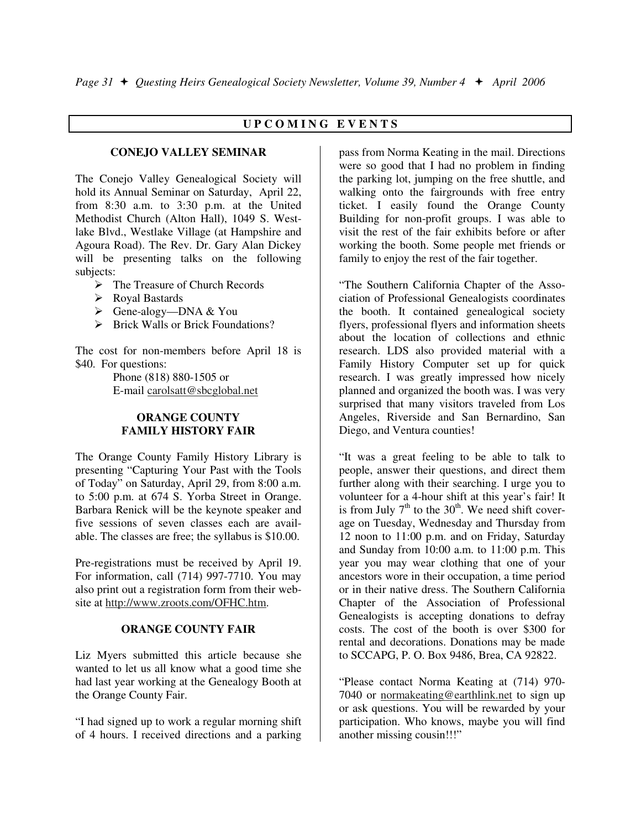## **U P C O M I N G E V E N T S**

#### **CONEJO VALLEY SEMINAR**

The Conejo Valley Genealogical Society will hold its Annual Seminar on Saturday, April 22, from 8:30 a.m. to 3:30 p.m. at the United Methodist Church (Alton Hall), 1049 S. Westlake Blvd., Westlake Village (at Hampshire and Agoura Road). The Rev. Dr. Gary Alan Dickey will be presenting talks on the following subjects:

- > The Treasure of Church Records
- Royal Bastards
- Gene-alogy—DNA & You
- > Brick Walls or Brick Foundations?

The cost for non-members before April 18 is \$40. For questions:

> Phone (818) 880-1505 or E-mail carolsatt@sbcglobal.net

#### **ORANGE COUNTY FAMILY HISTORY FAIR**

The Orange County Family History Library is presenting "Capturing Your Past with the Tools of Today" on Saturday, April 29, from 8:00 a.m. to 5:00 p.m. at 674 S. Yorba Street in Orange. Barbara Renick will be the keynote speaker and five sessions of seven classes each are available. The classes are free; the syllabus is \$10.00.

Pre-registrations must be received by April 19. For information, call (714) 997-7710. You may also print out a registration form from their website at http://www.zroots.com/OFHC.htm.

#### **ORANGE COUNTY FAIR**

Liz Myers submitted this article because she wanted to let us all know what a good time she had last year working at the Genealogy Booth at the Orange County Fair.

"I had signed up to work a regular morning shift of 4 hours. I received directions and a parking pass from Norma Keating in the mail. Directions were so good that I had no problem in finding the parking lot, jumping on the free shuttle, and walking onto the fairgrounds with free entry ticket. I easily found the Orange County Building for non-profit groups. I was able to visit the rest of the fair exhibits before or after working the booth. Some people met friends or family to enjoy the rest of the fair together.

"The Southern California Chapter of the Association of Professional Genealogists coordinates the booth. It contained genealogical society flyers, professional flyers and information sheets about the location of collections and ethnic research. LDS also provided material with a Family History Computer set up for quick research. I was greatly impressed how nicely planned and organized the booth was. I was very surprised that many visitors traveled from Los Angeles, Riverside and San Bernardino, San Diego, and Ventura counties!

"It was a great feeling to be able to talk to people, answer their questions, and direct them further along with their searching. I urge you to volunteer for a 4-hour shift at this year's fair! It is from July  $7<sup>th</sup>$  to the 30<sup>th</sup>. We need shift coverage on Tuesday, Wednesday and Thursday from 12 noon to 11:00 p.m. and on Friday, Saturday and Sunday from 10:00 a.m. to 11:00 p.m. This year you may wear clothing that one of your ancestors wore in their occupation, a time period or in their native dress. The Southern California Chapter of the Association of Professional Genealogists is accepting donations to defray costs. The cost of the booth is over \$300 for rental and decorations. Donations may be made to SCCAPG, P. O. Box 9486, Brea, CA 92822.

"Please contact Norma Keating at (714) 970- 7040 or normakeating@earthlink.net to sign up or ask questions. You will be rewarded by your participation. Who knows, maybe you will find another missing cousin!!!"